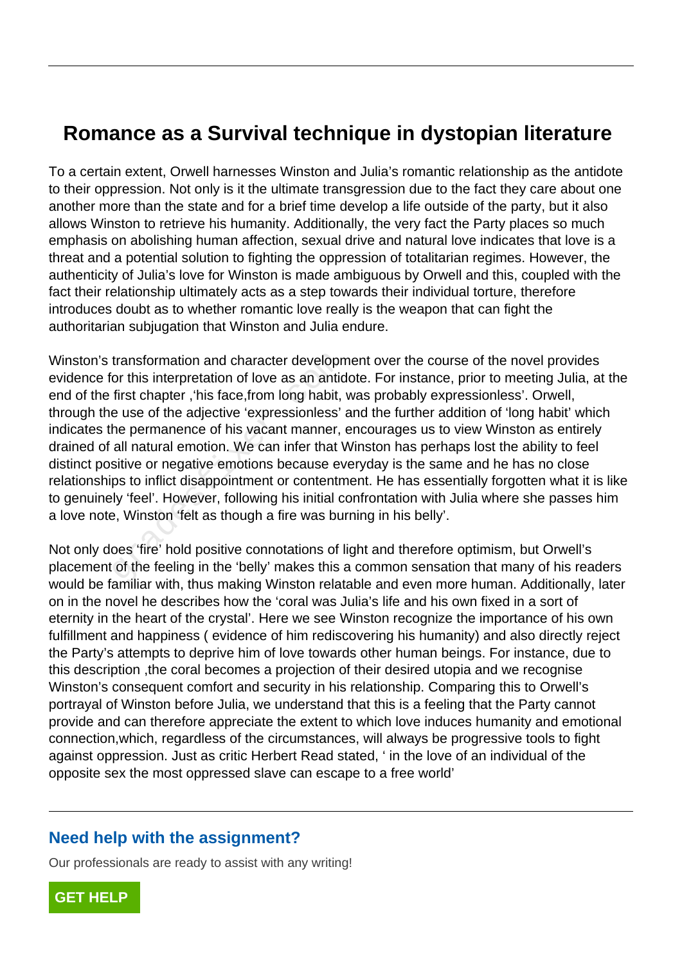## **Romance as a Survival technique in dystopian literature**

To a certain extent, Orwell harnesses Winston and Julia's romantic relationship as the antidote to their oppression. Not only is it the ultimate transgression due to the fact they care about one another more than the state and for a brief time develop a life outside of the party, but it also allows Winston to retrieve his humanity. Additionally, the very fact the Party places so much emphasis on abolishing human affection, sexual drive and natural love indicates that love is a threat and a potential solution to fighting the oppression of totalitarian regimes. However, the authenticity of Julia's love for Winston is made ambiguous by Orwell and this, coupled with the fact their relationship ultimately acts as a step towards their individual torture, therefore introduces doubt as to whether romantic love really is the weapon that can fight the authoritarian subjugation that Winston and Julia endure.

Winston's transformation and character development over the course of the novel provides evidence for this interpretation of love as an antidote. For instance, prior to meeting Julia, at the end of the first chapter ,'his face,from long habit, was probably expressionless'. Orwell, through the use of the adjective 'expressionless' and the further addition of 'long habit' which indicates the permanence of his vacant manner, encourages us to view Winston as entirely drained of all natural emotion. We can infer that Winston has perhaps lost the ability to feel distinct positive or negative emotions because everyday is the same and he has no close relationships to inflict disappointment or contentment. He has essentially forgotten what it is like to genuinely 'feel'. However, following his initial confrontation with Julia where she passes him a love note, Winston 'felt as though a fire was burning in his belly'. transformation and character developn<br>or this interpretation of love as an antic<br>first chapter , his face, from long habit,<br>e use of the adjective 'expressionless'<br>he permanence of his vacant manner,<br>all natural emotion. W

Not only does 'fire' hold positive connotations of light and therefore optimism, but Orwell's placement of the feeling in the 'belly' makes this a common sensation that many of his readers would be familiar with, thus making Winston relatable and even more human. Additionally, later on in the novel he describes how the 'coral was Julia's life and his own fixed in a sort of eternity in the heart of the crystal'. Here we see Winston recognize the importance of his own fulfillment and happiness ( evidence of him rediscovering his humanity) and also directly reject the Party's attempts to deprive him of love towards other human beings. For instance, due to this description ,the coral becomes a projection of their desired utopia and we recognise Winston's consequent comfort and security in his relationship. Comparing this to Orwell's portrayal of Winston before Julia, we understand that this is a feeling that the Party cannot provide and can therefore appreciate the extent to which love induces humanity and emotional connection,which, regardless of the circumstances, will always be progressive tools to fight against oppression. Just as critic Herbert Read stated, ' in the love of an individual of the opposite sex the most oppressed slave can escape to a free world'

## **Need help with the assignment?**

Our professionals are ready to assist with any writing!

**[GET HELP](https://my.gradesfixer.com/order?utm_campaign=pdf_sample)**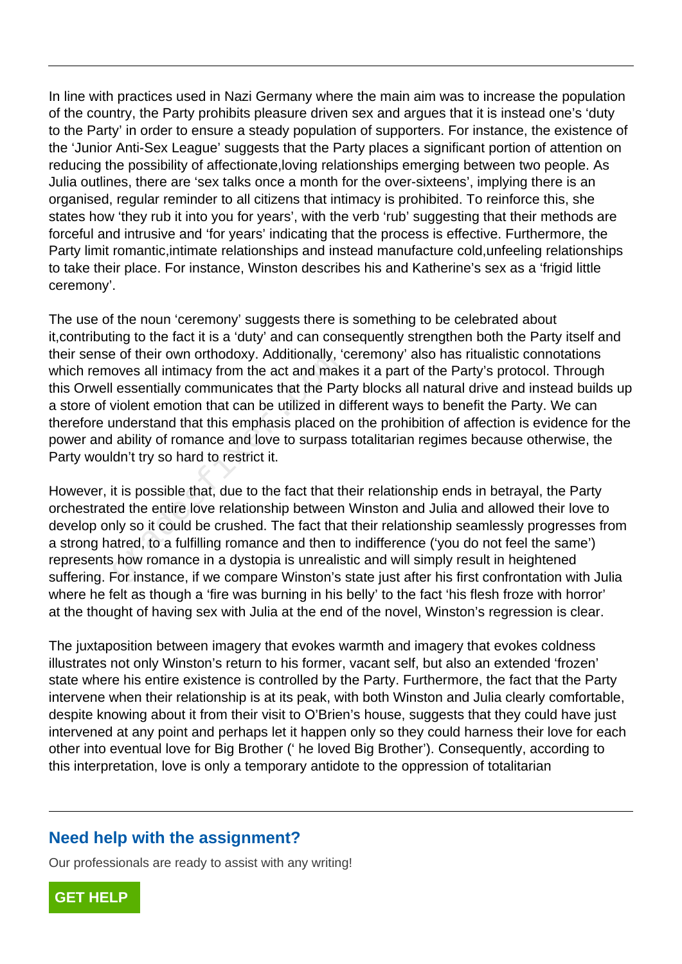In line with practices used in Nazi Germany where the main aim was to increase the population of the country, the Party prohibits pleasure driven sex and argues that it is instead one's 'duty to the Party' in order to ensure a steady population of supporters. For instance, the existence of the 'Junior Anti-Sex League' suggests that the Party places a significant portion of attention on reducing the possibility of affectionate,loving relationships emerging between two people. As Julia outlines, there are 'sex talks once a month for the over-sixteens', implying there is an organised, regular reminder to all citizens that intimacy is prohibited. To reinforce this, she states how 'they rub it into you for years', with the verb 'rub' suggesting that their methods are forceful and intrusive and 'for years' indicating that the process is effective. Furthermore, the Party limit romantic,intimate relationships and instead manufacture cold,unfeeling relationships to take their place. For instance, Winston describes his and Katherine's sex as a 'frigid little ceremony'.

The use of the noun 'ceremony' suggests there is something to be celebrated about it,contributing to the fact it is a 'duty' and can consequently strengthen both the Party itself and their sense of their own orthodoxy. Additionally, 'ceremony' also has ritualistic connotations which removes all intimacy from the act and makes it a part of the Party's protocol. Through this Orwell essentially communicates that the Party blocks all natural drive and instead builds up a store of violent emotion that can be utilized in different ways to benefit the Party. We can therefore understand that this emphasis placed on the prohibition of affection is evidence for the power and ability of romance and love to surpass totalitarian regimes because otherwise, the Party wouldn't try so hard to restrict it. grade of their own othodoxy. Additionally, to<br>oves all intimacy from the act and make<br>lessentially communicates that the Particle in d<br>understand that this emphasis placed of<br>ability of romance and love to surpass<br>dn't try

However, it is possible that, due to the fact that their relationship ends in betrayal, the Party orchestrated the entire love relationship between Winston and Julia and allowed their love to develop only so it could be crushed. The fact that their relationship seamlessly progresses from a strong hatred, to a fulfilling romance and then to indifference ('you do not feel the same') represents how romance in a dystopia is unrealistic and will simply result in heightened suffering. For instance, if we compare Winston's state just after his first confrontation with Julia where he felt as though a 'fire was burning in his belly' to the fact 'his flesh froze with horror' at the thought of having sex with Julia at the end of the novel, Winston's regression is clear.

The juxtaposition between imagery that evokes warmth and imagery that evokes coldness illustrates not only Winston's return to his former, vacant self, but also an extended 'frozen' state where his entire existence is controlled by the Party. Furthermore, the fact that the Party intervene when their relationship is at its peak, with both Winston and Julia clearly comfortable, despite knowing about it from their visit to O'Brien's house, suggests that they could have just intervened at any point and perhaps let it happen only so they could harness their love for each other into eventual love for Big Brother (' he loved Big Brother'). Consequently, according to this interpretation, love is only a temporary antidote to the oppression of totalitarian

## **Need help with the assignment?**

Our professionals are ready to assist with any writing!

**[GET HELP](https://my.gradesfixer.com/order?utm_campaign=pdf_sample)**